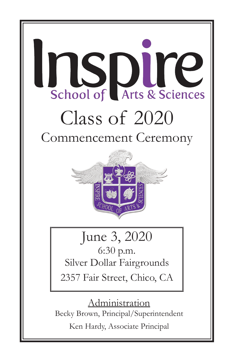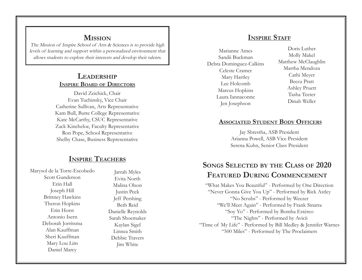# **Mission**

The Mission of Inspire School of Arts & Sciences is to provide high levels of learning and support within a personalized environment that allows students to explore their interests and develop their talents.

# **Leadership Inspire Board of Directors**

David Zeichick, Chair Evan Tuchinsky, Vice Chair Catherine Sullivan, Arts Representative Kam Bull, Butte College Representative Kate McCarthy, CSUC Representative Zack Kincheloe, Faculty Representative Ron Pope, School Representative Shelby Chase, Business Representative

# **Inspire Teachers**

Marysol de la Torre-Escobedo Scott Gunderson Erin Hall Joseph Hill Brittney Hawkins Theron Hopkins Erin Horst Antonio Isern Deborah Jorritsma Alan Kauffman Sheri Kauffman Mary Lou Lim Daniel Marcy

Jarrah Myles Evita North Malina Olson Justin Peek Jeff Pershing Beth Reid Danielle Reynolds Sarah Shoemaker Kaylan Sigel Linnea Smith Debbie Travers Jim White

# **INSPIRE STAFF**

Marianne Ames Sandii Buckman Debra Dominguez-Calkins Celeste Cramer Mary Hartley Lee Holcomb Marcus Hopkins Laura Iannaconne Jen Josephson

Doris Luther Molly Makel Matthew McClaughlin Martha Mendoza Cathi Meyer Becca Pratt Ashley Pruett Tasha Teeter Dinah Weller

### **Associated Student Body Officers**

Jay Shrestha, ASB President Arianna Powell, ASB Vice President Serena Kuhn, Senior Class President

# **Songs Selected by the Class of 2020 Featured During Commencement**

"What Makes You Beautiful" - Performed by One Direction "Never Gonna Give You Up" - Performed by Rick Astley "No Scrubs" - Performed by Weezer "We'll Meet Again" - Performed by Frank Sinatra "Soy Yo" - Performed by Bomba Estéreo "The Nights" - Performed by Avicii "Time of My Life" - Performed by Bill Medley & Jennifer Warnes "500 Miles" - Performed by The Proclaimers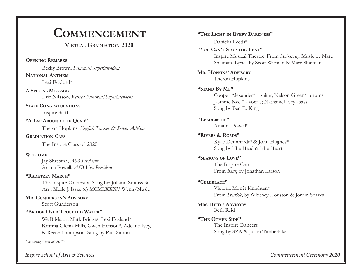# **Commencement**

# **Virtual Graduation 2020**

**Opening Remarks**

Becky Brown, *Principal/Superintendent*

Lexi Eckland\* **National Anthem**

Eric Nilsson, *Retired Principal/Superintendent* **A Special Message**

Inspire Staff **STAFF CONGRATULATIONS** 

Theron Hopkins, *English Teacher & Senior Advisor* **"A Lap Around the Quad"**

**Graduation Caps**

The Inspire Class of 2020

### **Welcome**

Jay Shrestha, *ASB President*  Ariana Powell, *ASB Vice President*

The Inspire Orchestra. Song by: Johann Strauss Sr. Arr.: Merle J. Issac (c) MCMLXXXV Wynn/Music **"Radetzky March"**

**Mr. Gunderson's Advisory** Scott Gunderson

### **"Bridge Over Troubled Water"**

We B Major: Mark Bridges, Lexi Eckland\*, Keanna Glenn-Mills, Gwen Henson\*, Adeline Ivey, & Reece Thompson. Song by Paul Simon

*\* denoting Class of 2020*

*Inspire School of Arts & Sciences Commencement Ceremony 2020*

**"The Light in Every Darkness"** Danicka Leeds\* **"You Can't Stop the Beat"**  Inspire Musical Theatre. From *Hairspray.* Music by Marc Shaiman. Lyrics by Scott Witman & Marc Shaiman **Mr. Hopkins' Advisory** Theron Hopkins **"Stand By Me"** Cooper Alexander\* - guitar; Nelson Green\* -drums, Jasmine Neel\* - vocals; Nathaniel Ivey -bass Song by Ben E. King **"Leadership"** Arianna Powell\* **"Rivers & Roads"** Kylie Dennhardt\* & John Hughes\* Song by The Head & The Heart **"Seasons of Love"** The Inspire Choir From *Rent*, by Jonathan Larson **"Celebrate"** Victoria Monèt Knighten\* From *Sparkle*, by Whitney Houston & Jordin Sparks **Mrs. Reid's Advisory** Beth Reid **"The Other Side"** The Inspire Dancers Song by SZA & Justin Timberlake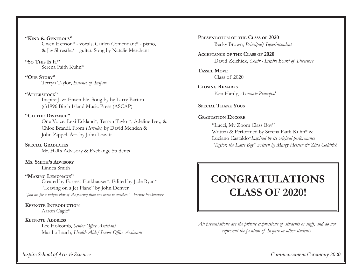#### **"Kind & Generous"**

Gwen Henson\* - vocals, Caitlen Comendant\* - piano, & Jay Shrestha\* - guitar. Song by Natalie Merchant

# Serena Faith Kuhn\* **"So This Is It"**

**"OUR STORY"**<br>Terryn Taylor, *Essence of Inspire* 

### **"Aftershock"**

Inspire Jazz Ensemble. Song by by Larry Barton (c)1996 Birch Island Music Press (ASCAP)

### **"Go the Distance"**

One Voice: Lexi Eckland\*, Terryn Taylor\*, Adeline Ivey, & Chloe Brandi. From *Hercules,* by David Menden & John Zippel. Arr. by John Leavitt

Mr. Hall's Advisory & Exchange Students **Special Graduates**

Linnea Smith **Ms. Smith's Advisory**

### **"Making Lemonade"**

Created by Forrest Fankhauser\*, Edited by Jade Ryan\* "Leaving on a Jet Plane" by John Denver

*"Join me for a unique view of the journey from one home to another." - Forrest Fankhauser*

# **Keynote Introduction**

Aaron Cagle\*

### **Keynote Address**

Lee Holcomb, *Senior Office Assistant* Martha Leach, *Health Aide/Senior Office Assistant*

Becky Brown, *Principal/Superintendent*  **Presentation of the Class of 2020**

David Zeichick, *Chair - Inspire Board of Directors* **Acceptance of the Class of 2020**

Class of 2020 **Tassel Move**

Ken Hardy, *Associate Principal* **Closing Remarks**

**Special Thank Yous**

### **Graduation Encore**

"Lucci, My Zoom Class Boy" Written & Performed by Serena Faith Kuhn\* & Luciano Castaldo\**Inspired by its original performance "Taylor, the Latte Boy" written by Marcy Heisler & Zina Goldrich*

# **CONGRATULATIONS CLASS OF 2020!**

*All presentations are the private expressions of students or staff, and do not represent the position of Inspire or other students.* 

*Inspire School of Arts & Sciences Commencement Ceremony 2020*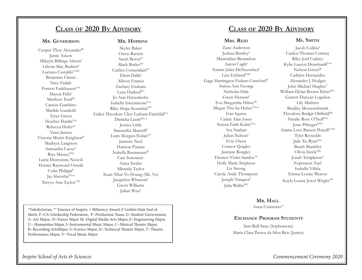# **Class of 2020 By Advisory**

#### **Mr. Gunderson**

**Mr. Hopkins**

Cooper Thor Alexander<sup>IR</sup> Jamie Askew Mikayla Billings-Alston€ Liliona May Burkett€ Luciano Castaldo<sup>CNP€</sup> Benjamin Clarno Nico Fadale Forrest FankhauserF+€ Mason Felix€ Matthew FordP€ Cassius Gambino Matilde Gandolfi Tyree Green Heather Hardie<sup>F+€</sup> Rebecca Hofer+€ Vann Jansen Victoria Monèt Knighten<sup>D</sup> Madisyn Langston Samantha Lucas<sup>T</sup> Riya Massev<sup>DT€</sup> Lucia Dustyanna Nizzoli Hunter Raymond Oswalt Colin Philippi<sup>P</sup> Jay ShresthaGF+€ Terryn Ann Taylor\*\*P€

Skyler Baker Owen Barrett Sarah Bovee<sup>D</sup> Mack Butler<sup>NP</sup> Caitlen Comendant<sup>F€</sup> Eliott Dalla€ Allison Francis Zachary Graham Lana Hadeed<sup>PG</sup> Jo-Ann Hattenkofer Isabella IntersimoneF+€ Riley Hope Kozielski<sup>NP</sup> Galen Theodore Clive Latham-Fairchild<sup>1+€</sup> Danicka Leeds<sup>DF+€</sup> Jessica Little Samantha Marzolf€ Liam Morgan-Nolan<sup>UP</sup> Jasmine Neel Harison Punian Isabella RasmussenD Cate Sorensen<sup>+</sup> Anna Stotler Miranda Taylor Xuan Nhat Vo Hoang (Mr. Vo) Jacquelyn Wharton€ Gavin Williams Julian Wise€

# **Class of 2020 By Advisory**

### **Mrs. Reid**

Zane Anderson Joshua Bentley€ Maximilian Bromelow Aaron Cagle€ Emma Juliet DeNecochea€ Lexi Eckland<sup>IVP€</sup> Gage Harrington Fudem-Crawford<sup>G</sup> Anissa Ann George Nicholas Hale Gwen Henson€ Eva Margrethe HilseeP€ Megan Thu-ha Huber\*ES+€ Ivan Iquera Caden Alan Jones Serena Faith Kuhn<sup>GC€</sup> Ava Nathan Julian Nelson€ Evie Owen Connor Quigley Jasmine Rongley Eleanor Violet Sandoe<sup>U€</sup> Holly Marie Stephens Liz Strong Carole Andy Thompson Joseph Vasquez€ Julia Wallin<sup>MA</sup>

### **Ms. Smith**

Jacob Collins€ Caiden Thomas Conway Riley Joel Cudney Kylie Lauryn Dennhardt<sup>G+€</sup> Nelson Green<sup>IR</sup> Cadelyn Hernandez Alexander J. Hodges John Michael Hughes<sup>V</sup> William Dylan Brown Klein<sup>MU+</sup> Garrett Duncan Logsdon Lily Mathers Bradley Messerschmidt Theodora Bridgit Oldfield<sup>D€</sup> Natalie Rose O'Neil<sup>D+€</sup> Juno Pflueger<sup>DAP</sup> Ariana Love Bassett PowellGUIF Tyler Reynolds Jade Xu Ryan<sup>M+€</sup> Butch Shankles Olivia SteeleTP€ Jonah Templeton<sup>A</sup> Esperanza Tuel Isabella Villela Emma Louise Weaver Kayla Louise Jewel Wright<sup>NP</sup>

### **Mr. Hall**

Anna Cummins $A^+$ 

### **Exchange Program Students**

Sara Rull Sanz (Sophomore) Maria Clara Passos da Silva Reis (Junior)

\*Valedictorian, \*\* Essence of Inspire, + Biliteracy Award, € Golden State Seal of Merit, F~CA Scholarship Federation, P~Production Team, G~Student Government, A~Art Major, D~Dance Major M~Digital Media Arts Major, E~Engineering Major, U~ Humanities Major, I~Instrumental Music Major, C~Musical Theatre Major, R~Recording ArtsMajor, S~Science Major, N~Technical Theatre Major, T~Theatre Performance Major, V~Vocal Music Major

*Inspire School of Arts & Sciences Commencement Ceremony 2020*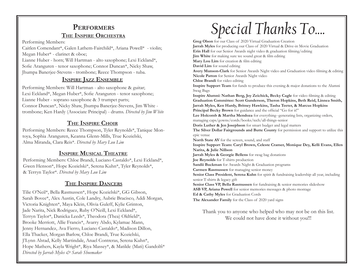# **Performers The Inspire Orchestra**

Performing Members:

Caitlen Comendant\*, Galen Lathem-Fairchild\*, Ariana Powell\* - violin; Megan Huber\* - clarinet & oboe;

Lianne Huber - horn; Will Hartman - alto saxophone; Lexi Eckland\*, Sofie Aranguren - tenor saxophone; Connor Duncan\*, Nicky Shaw, Jhumpa Banerjee-Stevens - trombone; Reece Thompson - tuba.

## **Inspire Jazz Ensemble**

Performing Members: Will Hartman - alto saxophone & guitar; Lexi Eckland\*, Megan Huber\*, Sofie Aranguren - tenor saxophone; Lianne Huber - soprano saxophone & 3 trumpet parts; Connor Duncan\*, Nicky Shaw, Jhumpa Banerjee-Stevens, Jim White trombone; Ken Hardy (Associate Principal) - drums. *Directed by Jim White*

# **The Inspire Choir**

Performing Members: Reece Thompson, Tyler Reynolds\*, Tanique Montoya, Sophia Aranguren, Keanna Glenn-Mills, True Kozielski, Alma Miranda, Clara Reis\*. *Directed by Mary Lou Lim*

## **Inspire Musical Theatre**

Performing Members: Chloe Brandi, Luciano Castaldo\*, Lexi Eckland\*, Gwen Henson\*, Hope Kozielski\*, Serena Kuhn\*, Tyler Reynolds\*, & Terryn Taylor\*. *Directed by Mary Lou Lim*

### **The Inspire Dancers**

Tilie O'Neil\*, Bella Rasmussen\*, Hope Kozielski\*, GG Gibson, Sarah Bovee\*, Alex Austin, Cole Landry, Aubrie Bracisco, Addi Morgan, Victoria Knighten\*, Maya Klein, Olivia Guleff, Kylie Grinton, Jade Narita, Nick Rodriguez, Ruby O'Neill, Lexi Eckland\*, Terryn Taylor\*, Danicka Leeds\*, Theodora (Thea) Oldfield\*, Brooke Merriott, Allie Francis\*, Avarry Abdo, Kylamae Mann, Jenny Hernandez, Ava Fierro, Luciano Castaldo\*, Madison Dillon, Ella Thacker, Morgan Barlow, Chloe Brandi, True Kozielski, J'Lynn Alstad, Kelly Martindale, Anael Contreras, Serena Kuhn\*, Hope Mathers, Kayla Wright\*, Riya Massey\*, & Matilde (Mati) Gandolfi\* *Directed by Jarrah Myles & Sarah Shoemaker*

# *Special Thanks To....*

**Greg Olson** for our Class of 2020 Virtual Graduation Creation **Jarrah Myles** for producing our Class of 2020 Virtual & Drive-in Movie Graduation **Erin Hall** for our Senior Awards night video & graduation filming/editing **Jim White** for making sure we sound great & film editing **Mary Lou Lim** for creation & film editing **David Lim** for sound editing **Avery Munson-Clark** for Senior Awards Night video and Graduation video filming & editing **Nicole Patton** for Senior Awards Night video **Chloe Brandi** for video editing **Inspire Support Team** for funds to produce this evening & major donations to the Alumni Swag Bags **Inspire Alumni: Nathan Berg, Joy Zeichick, Becky Cagle** for video filming & editing **Graduation Committee: Scott Gunderson, Theron Hopkins, Beth Reid, Linnea Smith, Jarrah Myles, Ken Hardy, Britney Hawkins, Tasha Teeter, & Marcus Hopkins** Principal Becky Brown for guidance and the official "Go for it!" **Lee Holcomb & Martha Mendoza** for everything--generating lists, organizing orders, managing caps/gowns/cords/books/tech/all-things-senior **Doris Luther & Jen Josephson** for smart budget and legal matters **The Silver Dollar Fairgrounds and Butte County** for permission and support to utilize this epic venue **North State AV** for the screen, sound, and staff **Inspire Support Team: Caryl Brown, Celeste Cramer, Monique Dey, Kelli Evans, Ellen Narita, & Julie Nillson Jarrah Myles & Georgie Bellens** for swag bag donations **Joe Reynolds** for T-shirts production **Sandii Buckman** for Awards Night & Graduation programs **Carmen Rasmussen** for managing senior money **Senior Class President, Serena Kuhn** for spirit & fundraising leadership all year, including senior T-shirts & legacy gift **Senior Class VP, Bella Rasmussen** for fundraising & senior memories slideshow **ASB VP, Ariana Powell** for senior memories messages & photo montage **Ed & Cathy Myles** for Graduation Cords **The Alexander Family** for the Class of 2020 yard signs

Thank you to anyone who helped who may not be on this list. We could not have done it without you!!!